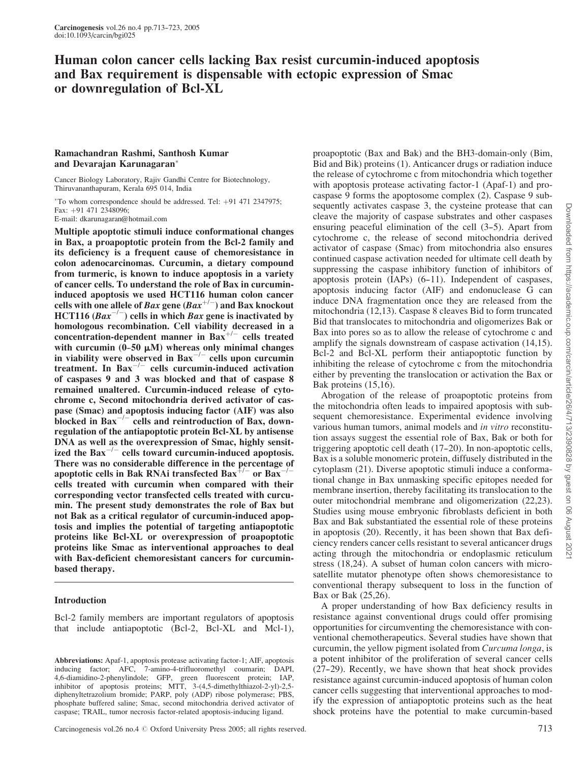# Human colon cancer cells lacking Bax resist curcumin-induced apoptosis and Bax requirement is dispensable with ectopic expression of Smac or downregulation of Bcl-XL

## Ramachandran Rashmi, Santhosh Kumar and Devarajan Karunagaran

Cancer Biology Laboratory, Rajiv Gandhi Centre for Biotechnology, Thiruvananthapuram, Kerala 695 014, India

 $*$ To whom correspondence should be addressed. Tel:  $+91$  471 2347975;  $Fax: +91 471 2348096$ E-mail: dkarunagaran@hotmail.com

Multiple apoptotic stimuli induce conformational changes in Bax, a proapoptotic protein from the Bcl-2 family and its deficiency is a frequent cause of chemoresistance in colon adenocarcinomas. Curcumin, a dietary compound from turmeric, is known to induce apoptosis in a variety of cancer cells. To understand the role of Bax in curcumininduced apoptosis we used HCT116 human colon cancer cells with one allele of Bax gene  $(Bax^{+/-})$  and Bax knockout HCT116  $(Bax^{-/-})$  cells in which Bax gene is inactivated by homologous recombination. Cell viability decreased in a  $\frac{1}{2}$ concentration-dependent manner in Bax<sup>+/-</sup> cells treated with curcumin  $(0-50 \mu M)$  whereas only minimal changes in viability were observed in Bax<sup> $-/-$ </sup> cells upon curcumin treatment. In  $Bax^{-/-}$  cells curcumin-induced activation of caspases 9 and 3 was blocked and that of caspase 8 remained unaltered. Curcumin-induced release of cytochrome c, Second mitochondria derived activator of caspase (Smac) and apoptosis inducing factor (AIF) was also blocked in  $Bax^{-/-}$  cells and reintroduction of Bax, downregulation of the antiapoptotic protein Bcl-XL by antisense DNA as well as the overexpression of Smac, highly sensitized the  $\text{Bax}^{-/-}$  cells toward curcumin-induced apoptosis. There was no considerable difference in the percentage of apoptotic cells in Bak RNAi transfected  $Bax^{+/-}$  or  $Bax^{-/-}$ cells treated with curcumin when compared with their corresponding vector transfected cells treated with curcumin. The present study demonstrates the role of Bax but not Bak as a critical regulator of curcumin-induced apoptosis and implies the potential of targeting antiapoptotic proteins like Bcl-XL or overexpression of proapoptotic proteins like Smac as interventional approaches to deal with Bax-deficient chemoresistant cancers for curcuminbased therapy.

## Introduction

Bcl-2 family members are important regulators of apoptosis that include antiapoptotic (Bcl-2, Bcl-XL and Mcl-1),

proapoptotic (Bax and Bak) and the BH3-domain-only (Bim, Bid and Bik) proteins (1). Anticancer drugs or radiation induce the release of cytochrome c from mitochondria which together with apoptosis protease activating factor-1 (Apaf-1) and procaspase 9 forms the apoptosome complex (2). Caspase 9 subsequently activates caspase 3, the cysteine protease that can cleave the majority of caspase substrates and other caspases ensuring peaceful elimination of the cell (3–5). Apart from cytochrome c, the release of second mitochondria derived activator of caspase (Smac) from mitochondria also ensures continued caspase activation needed for ultimate cell death by suppressing the caspase inhibitory function of inhibitors of apoptosis protein  $(IAPs)$   $(6-11)$ . Independent of caspases, apoptosis inducing factor (AIF) and endonuclease G can induce DNA fragmentation once they are released from the mitochondria (12,13). Caspase 8 cleaves Bid to form truncated Bid that translocates to mitochondria and oligomerizes Bak or Bax into pores so as to allow the release of cytochrome c and amplify the signals downstream of caspase activation (14,15). Bcl-2 and Bcl-XL perform their antiapoptotic function by inhibiting the release of cytochrome c from the mitochondria either by preventing the translocation or activation the Bax or Bak proteins (15,16).

Abrogation of the release of proapoptotic proteins from the mitochondria often leads to impaired apoptosis with subsequent chemoresistance. Experimental evidence involving various human tumors, animal models and *in vitro* reconstitution assays suggest the essential role of Bax, Bak or both for triggering apoptotic cell death  $(17-20)$ . In non-apoptotic cells, Bax is a soluble monomeric protein, diffusely distributed in the cytoplasm (21). Diverse apoptotic stimuli induce a conformational change in Bax unmasking specific epitopes needed for membrane insertion, thereby facilitating its translocation to the outer mitochondrial membrane and oligomerization (22,23). Studies using mouse embryonic fibroblasts deficient in both Bax and Bak substantiated the essential role of these proteins in apoptosis (20). Recently, it has been shown that Bax deficiency renders cancer cells resistant to several anticancer drugs acting through the mitochondria or endoplasmic reticulum stress (18,24). A subset of human colon cancers with microsatellite mutator phenotype often shows chemoresistance to conventional therapy subsequent to loss in the function of Bax or Bak (25,26).

A proper understanding of how Bax deficiency results in resistance against conventional drugs could offer promising opportunities for circumventing the chemoresistance with conventional chemotherapeutics. Several studies have shown that curcumin, the yellow pigment isolated from Curcuma longa, is a potent inhibitor of the proliferation of several cancer cells  $(27-29)$ . Recently, we have shown that heat shock provides resistance against curcumin-induced apoptosis of human colon cancer cells suggesting that interventional approaches to modify the expression of antiapoptotic proteins such as the heat shock proteins have the potential to make curcumin-based

Abbreviations: Apaf-1, apoptosis protease activating factor-1; AIF, apoptosis inducing factor; AFC, 7-amino-4-trifluoromethyl coumarin; DAPI, 4,6-diamidino-2-phenylindole; GFP, green fluorescent protein; IAP, inhibitor of apoptosis proteins; MTT, 3-(4,5-dimethylthiazol-2-yl)-2,5 diphenyltetrazolium bromide; PARP, poly (ADP) ribose polymerase; PBS, phosphate buffered saline; Smac, second mitochondria derived activator of caspase; TRAIL, tumor necrosis factor-related apoptosis-inducing ligand.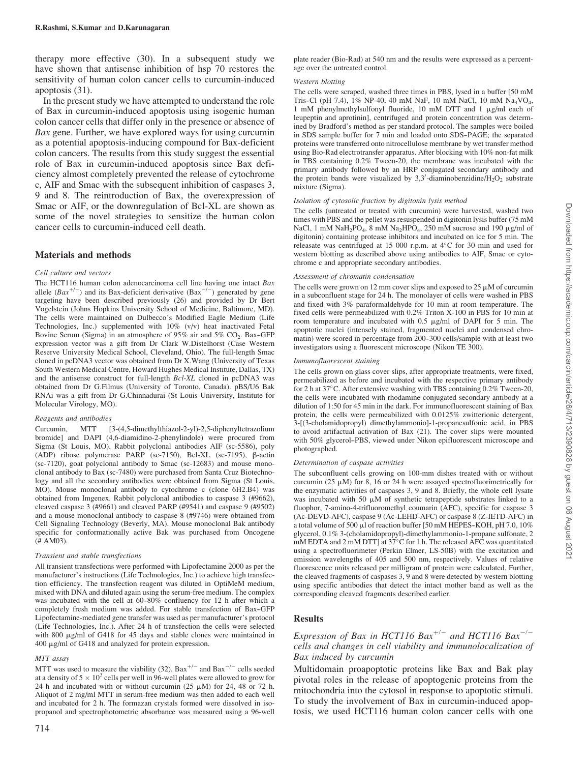therapy more effective (30). In a subsequent study we have shown that antisense inhibition of hsp 70 restores the sensitivity of human colon cancer cells to curcumin-induced apoptosis (31).

In the present study we have attempted to understand the role of Bax in curcumin-induced apoptosis using isogenic human colon cancer cells that differ only in the presence or absence of Bax gene. Further, we have explored ways for using curcumin as a potential apoptosis-inducing compound for Bax-deficient colon cancers. The results from this study suggest the essential role of Bax in curcumin-induced apoptosis since Bax deficiency almost completely prevented the release of cytochrome c, AIF and Smac with the subsequent inhibition of caspases 3, 9 and 8. The reintroduction of Bax, the overexpression of Smac or AIF, or the downregulation of Bcl-XL are shown as some of the novel strategies to sensitize the human colon cancer cells to curcumin-induced cell death.

#### Materials and methods

#### Cell culture and vectors

The HCT116 human colon adenocarcinoma cell line having one intact Bax allele  $(Bax^{+/-})$  and its Bax-deficient derivative  $(Bax^{-/-})$  generated by gene targeting have been described previously (26) and provided by Dr Bert Vogelstein (Johns Hopkins University School of Medicine, Baltimore, MD). The cells were maintained on Dulbecco's Modified Eagle Medium (Life Technologies, Inc.) supplemented with 10% (v/v) heat inactivated Fetal Bovine Serum (Sigma) in an atmosphere of 95% air and 5% CO<sub>2</sub>. Bax-GFP expression vector was a gift from Dr Clark W.Distelhorst (Case Western Reserve University Medical School, Cleveland, Ohio). The full-length Smac cloned in pcDNA3 vector was obtained from Dr X.Wang (University of Texas South Western Medical Centre, Howard Hughes Medical Institute, Dallas, TX) and the antisense construct for full-length Bcl-XL cloned in pcDNA3 was obtained from Dr G.Filmus (University of Toronto, Canada). pBS/U6 Bak RNAi was a gift from Dr G.Chinnadurai (St Louis University, Institute for Molecular Virology, MO).

#### Reagents and antibodies

Curcumin, MTT [3-(4,5-dimethylthiazol-2-yl)-2,5-diphenyltetrazolium bromide] and DAPI (4,6-diamidino-2-phenylindole) were procured from Sigma (St Louis, MO). Rabbit polyclonal antibodies AIF (sc-5586), poly (ADP) ribose polymerase PARP (sc-7150), Bcl-XL (sc-7195), b-actin (sc-7120), goat polyclonal antibody to Smac (sc-12683) and mouse monoclonal antibody to Bax (sc-7480) were purchased from Santa Cruz Biotechnology and all the secondary antibodies were obtained from Sigma (St Louis, MO). Mouse monoclonal antibody to cytochrome c (clone 6H2.B4) was obtained from Imgenex. Rabbit polyclonal antibodies to caspase 3 (#9662), cleaved caspase 3 (#9661) and cleaved PARP (#9541) and caspase 9 (#9502) and a mouse monoclonal antibody to caspase 8 (#9746) were obtained from Cell Signaling Technology (Beverly, MA). Mouse monoclonal Bak antibody specific for conformationally active Bak was purchased from Oncogene (# AM03).

#### Transient and stable transfections

All transient transfections were performed with Lipofectamine 2000 as per the manufacturer's instructions (Life Technologies, Inc.) to achieve high transfection efficiency. The transfection reagent was diluted in OptiMeM medium, mixed with DNA and diluted again using the serum-free medium. The complex was incubated with the cell at  $60-80\%$  confluency for 12 h after which a completely fresh medium was added. For stable transfection of Bax-GFP Lipofectamine-mediated gene transfer was used as per manufacturer's protocol (Life Technologies, Inc.). After 24 h of transfection the cells were selected with 800  $\mu$ g/ml of G418 for 45 days and stable clones were maintained in 400 mg/ml of G418 and analyzed for protein expression.

#### MTT assay

MTT was used to measure the viability (32). Bax<sup>+/-</sup> and Bax<sup>-/-</sup> cells seeded at a density of  $5 \times 10^3$  cells per well in 96-well plates were allowed to grow for 24 h and incubated with or without curcumin (25  $\mu$ M) for 24, 48 or 72 h. Aliquot of 2 mg/ml MTT in serum-free medium was then added to each well and incubated for 2 h. The formazan crystals formed were dissolved in isopropanol and spectrophotometric absorbance was measured using a 96-well

#### Western blotting

The cells were scraped, washed three times in PBS, lysed in a buffer [50 mM Tris-Cl (pH 7.4), 1% NP-40, 40 mM NaF, 10 mM NaCl, 10 mM Na<sub>3</sub>VO<sub>4</sub>, 1 mM phenylmethylsulfonyl fluoride, 10 mM DTT and 1  $\mu$ g/ml each of leupeptin and aprotinin], centrifuged and protein concentration was determined by Bradford's method as per standard protocol. The samples were boiled in SDS sample buffer for 7 min and loaded onto SDS--PAGE; the separated proteins were transferred onto nitrocellulose membrane by wet transfer method using Bio-Rad electrotransfer apparatus. After blocking with 10% non-fat milk in TBS containing 0.2% Tween-20, the membrane was incubated with the primary antibody followed by an HRP conjugated secondary antibody and the protein bands were visualized by  $3,3'$ -diaminobenzidine/H<sub>2</sub>O<sub>2</sub> substrate mixture (Sigma).

#### Isolation of cytosolic fraction by digitonin lysis method

The cells (untreated or treated with curcumin) were harvested, washed two times with PBS and the pellet was resuspended in digitonin lysis buffer (75 mM NaCl, 1 mM NaH<sub>2</sub>PO<sub>4</sub>, 8 mM Na<sub>2</sub>HPO<sub>4</sub>, 250 mM sucrose and 190  $\mu$ g/ml of digitonin) containing protease inhibitors and incubated on ice for 5 min. The releasate was centrifuged at 15 000 r.p.m. at  $4^{\circ}$ C for 30 min and used for western blotting as described above using antibodies to AIF, Smac or cytochrome c and appropriate secondary antibodies.

#### Assessment of chromatin condensation

The cells were grown on 12 mm cover slips and exposed to 25  $\mu$ M of curcumin in a subconfluent stage for 24 h. The monolayer of cells were washed in PBS and fixed with 3% paraformaldehyde for 10 min at room temperature. The fixed cells were permeabilized with 0.2% Triton X-100 in PBS for 10 min at room temperature and incubated with  $0.5 \mu g/ml$  of DAPI for 5 min. The apoptotic nuclei (intensely stained, fragmented nuclei and condensed chromatin) were scored in percentage from 200-300 cells/sample with at least two investigators using a fluorescent microscope (Nikon TE 300).

#### Immunofluorescent staining

The cells grown on glass cover slips, after appropriate treatments, were fixed, permeabilized as before and incubated with the respective primary antibody for 2 h at 37 $^{\circ}$ C. After extensive washing with TBS containing 0.2% Tween-20, the cells were incubated with rhodamine conjugated secondary antibody at a dilution of 1:50 for 45 min in the dark. For immunofluorescent staining of Bax protein, the cells were permeabilized with 0.0125% zwitterionic detergent, 3-[(3-cholamidopropyl) dimethylammonio]-1-propanesulfonic acid, in PBS to avoid artifactual activation of Bax (21). The cover slips were mounted with 50% glycerol-PBS, viewed under Nikon epifluorescent microscope and photographed.

#### Determination of caspase activities

The subconfluent cells growing on 100-mm dishes treated with or without curcumin (25  $\mu$ M) for 8, 16 or 24 h were assayed spectrofluorimetrically for the enzymatic activities of caspases 3, 9 and 8. Briefly, the whole cell lysate was incubated with 50  $\mu$ M of synthetic tetrapeptide substrates linked to a fluophor, 7-amino-4-trifluoromethyl coumarin (AFC), specific for caspase 3 (Ac-DEVD-AFC), caspase 9 (Ac-LEHD-AFC) or caspase 8 (Z-IETD-AFC) in a total volume of 500  $\mu$ l of reaction buffer [50 mM HEPES-KOH, pH 7.0, 10% glycerol, 0.1% 3-(cholamidopropyl)-dimethylammonio-1-propane sulfonate, 2 mM EDTA and 2 mM DTT] at  $37^{\circ}$ C for 1 h. The released AFC was quantitated using a spectrofluorimeter (Perkin Elmer, LS-50B) with the excitation and emission wavelengths of 405 and 500 nm, respectively. Values of relative fluorescence units released per milligram of protein were calculated. Further, the cleaved fragments of caspases 3, 9 and 8 were detected by western blotting using specific antibodies that detect the intact mother band as well as the corresponding cleaved fragments described earlier.

## **Results**

## Expression of Bax in HCT116 Bax<sup>+/-</sup> and HCT116 Bax<sup>-/-</sup> cells and changes in cell viability and immunolocalization of Bax induced by curcumin

Multidomain proapoptotic proteins like Bax and Bak play pivotal roles in the release of apoptogenic proteins from the mitochondria into the cytosol in response to apoptotic stimuli. To study the involvement of Bax in curcumin-induced apoptosis, we used HCT116 human colon cancer cells with one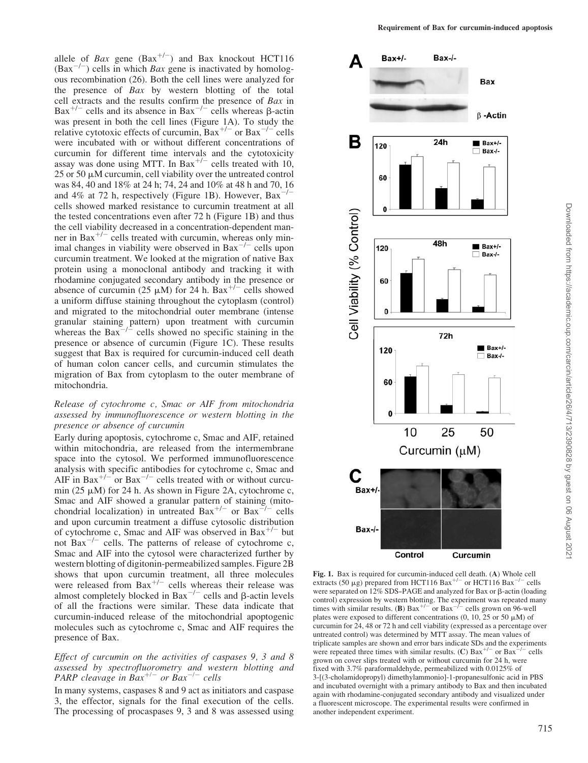allele of Bax gene  $(Bax^{+/-})$  and Bax knockout HCT116  $(Bax^{-/-})$  cells in which *Bax* gene is inactivated by homologous recombination (26). Both the cell lines were analyzed for the presence of Bax by western blotting of the total cell extracts and the results confirm the presence of Bax in  $Bax^{+/-}$  cells and its absence in  $Bax^{-/-}$  cells whereas  $\beta$ -actin was present in both the cell lines (Figure 1A). To study the relative cytotoxic effects of curcumin,  $Bax^{+/-}$  or  $Bax^{-/-}$  cells were incubated with or without different concentrations of curcumin for different time intervals and the cytotoxicity assay was done using MTT. In Bax<sup>+/-</sup> cells treated with 10,  $25$  or  $50 \mu$ M curcumin, cell viability over the untreated control was 84, 40 and 18% at 24 h; 74, 24 and 10% at 48 h and 70, 16 and  $4\%$  at 72 h, respectively (Figure 1B). However,  $Bar^{-/-}$ cells showed marked resistance to curcumin treatment at all the tested concentrations even after 72 h (Figure 1B) and thus the cell viability decreased in a concentration-dependent man- $\frac{1}{2}$  is the contracted with curcumin, whereas only minimal changes in viability were observed in  $Bax^{-/-}$  cells upon curcumin treatment. We looked at the migration of native Bax protein using a monoclonal antibody and tracking it with rhodamine conjugated secondary antibody in the presence or absence of curcumin (25  $\mu$ M) for 24 h. Bax<sup>+/-</sup> cells showed a uniform diffuse staining throughout the cytoplasm (control) and migrated to the mitochondrial outer membrane (intense granular staining pattern) upon treatment with curcumin whereas the  $Bax^{-1/2}$  cells showed no specific staining in the presence or absence of curcumin (Figure 1C). These results suggest that Bax is required for curcumin-induced cell death of human colon cancer cells, and curcumin stimulates the migration of Bax from cytoplasm to the outer membrane of mitochondria.

## Release of cytochrome c, Smac or AIF from mitochondria assessed by immunofluorescence or western blotting in the presence or absence of curcumin

Early during apoptosis, cytochrome c, Smac and AIF, retained within mitochondria, are released from the intermembrane space into the cytosol. We performed immunofluorescence analysis with specific antibodies for cytochrome c, Smac and AIF in Bax<sup>+/-</sup> or Bax<sup>-/-</sup> cells treated with or without curcumin (25  $\mu$ M) for 24 h. As shown in Figure 2A, cytochrome c, Smac and AIF showed a granular pattern of staining (mitochondrial localization) in untreated  $Bax^{+/-}$  or  $Bax^{-/-}$  cells and upon curcumin treatment a diffuse cytosolic distribution of cytochrome c, Smac and AIF was observed in Bax<sup>+/-</sup> but not  $Bax^{-1}$  cells. The patterns of release of cytochrome c, Smac and AIF into the cytosol were characterized further by western blotting of digitonin-permeabilized samples. Figure 2B shows that upon curcumin treatment, all three molecules were released from  $Bax^{+/-}$  cells whereas their release was<br>almost completely blocked in  $Bax^{-/-}$  cells and  $\beta$ -actin levels of all the fractions were similar. These data indicate that curcumin-induced release of the mitochondrial apoptogenic molecules such as cytochrome c, Smac and AIF requires the presence of Bax.

## Effect of curcumin on the activities of caspases 9, 3 and 8 assessed by spectrofluorometry and western blotting and PARP cleavage in Bax<sup>+/-</sup> or Bax<sup>-/-</sup> cells

In many systems, caspases 8 and 9 act as initiators and caspase 3, the effector, signals for the final execution of the cells. The processing of procaspases 9, 3 and 8 was assessed using



Fig. 1. Bax is required for curcumin-induced cell death. (A) Whole cell extracts (50  $\mu$ g) prepared from HCT116 Bax<sup>+/-</sup> or HCT116 Bax<sup>-/-</sup> cells were separated on  $12\%$  SDS-PAGE and analyzed for Bax or  $\beta$ -actin (loading control) expression by western blotting. The experiment was repeated many times with similar results. (B)  $Bax^{+/-}$  or  $Bax^{-/-}$  cells grown on 96-well plates were exposed to different concentrations  $(0, 10, 25 \text{ or } 50 \mu\text{M})$  of curcumin for 24, 48 or 72 h and cell viability (expressed as a percentage over untreated control) was determined by MTT assay. The mean values of triplicate samples are shown and error bars indicate SDs and the experiments were repeated three times with similar results. (C) Bax<sup>+/-</sup> or Bax<sup>-/-</sup> cells grown on cover slips treated with or without curcumin for 24 h, were fixed with 3.7% paraformaldehyde, permeabilized with 0.0125% of 3-[(3-cholamidopropyl) dimethylammonio]-1-propanesulfonic acid in PBS and incubated overnight with a primary antibody to Bax and then incubated again with rhodamine-conjugated secondary antibody and visualized under a fluorescent microscope. The experimental results were confirmed in another independent experiment.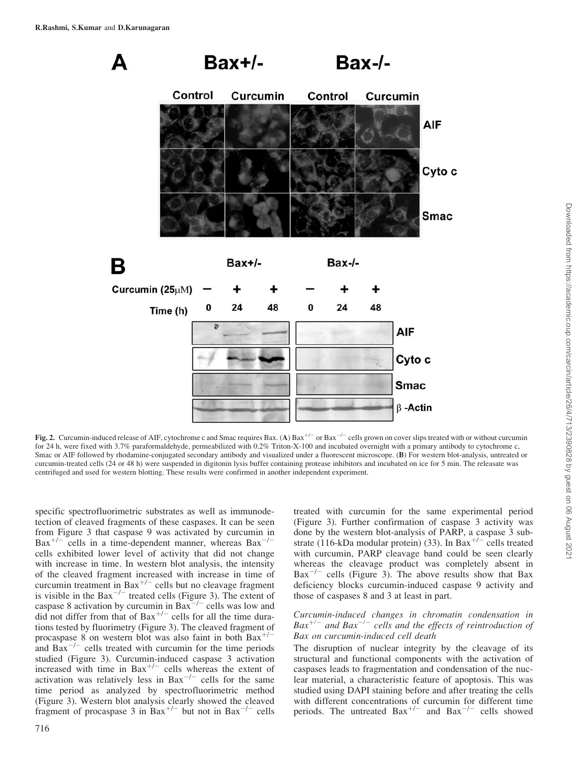

Fig. 2. Curcumin-induced release of AIF, cytochrome c and Smac requires Bax. (A) Bax<sup>+/-</sup> or Bax<sup>-/-</sup> cells grown on cover slips treated with or without curcumin for 24 h, were fixed with 3.7% paraformaldehyde, permeabilized with 0.2% Triton-X-100 and incubated overnight with a primary antibody to cytochrome c, Smac or AIF followed by rhodamine-conjugated secondary antibody and visualized under a fluorescent microscope. (B) For western blot-analysis, untreated or curcumin-treated cells (24 or 48 h) were suspended in digitonin lysis buffer containing protease inhibitors and incubated on ice for 5 min. The releasate was centrifuged and used for western blotting. These results were confirmed in another independent experiment.

specific spectrofluorimetric substrates as well as immunodetection of cleaved fragments of these caspases. It can be seen from Figure 3 that caspase 9 was activated by curcumin in  $Bax^{+/-}$  cells in a time-dependent manner, whereas  $Bax^{-/-}$ cells exhibited lower level of activity that did not change with increase in time. In western blot analysis, the intensity of the cleaved fragment increased with increase in time of curcumin treatment in Bax<sup>+/-</sup> cells but no cleavage fragment<br>is visible in the Bax<sup>-/-</sup> treated cells (Figure 3). The extent of caspase 8 activation by curcumin in  $Bax^{-/-}$  cells was low and did not differ from that of  $Bax^{+/-}$  cells for all the time durations tested by fluorimetry (Figure 3). The cleaved fragment of procaspase 8 on western blot was also faint in both  $Bax^{+/-}$ and  $Bax^{-/-}$  cells treated with curcumin for the time periods studied (Figure 3). Curcumin-induced caspase 3 activation increased with time in  $Bax^{+/-}$  cells whereas the extent of activation was relatively less in  $Bax^{-/-}$  cells for the same time period as analyzed by spectrofluorimetric method (Figure 3). Western blot analysis clearly showed the cleaved fragment of procaspase 3 in Bax<sup>+/-</sup> but not in Bax<sup>-/-</sup> cells

treated with curcumin for the same experimental period (Figure 3). Further confirmation of caspase 3 activity was done by the western blot-analysis of PARP, a caspase 3 substrate (116-kDa modular protein) (33). In Bax<sup>+/--</sup> cells treated with curcumin, PARP cleavage band could be seen clearly whereas the cleavage product was completely absent in  $Bax^{-1}$  cells (Figure 3). The above results show that Bax deficiency blocks curcumin-induced caspase 9 activity and those of caspases 8 and 3 at least in part.

# Curcumin-induced changes in chromatin condensation in<br>Bax<sup>+/-</sup> and Bax<sup>-/-</sup> cells and the effects of reintroduction of Bax on curcumin-induced cell death

The disruption of nuclear integrity by the cleavage of its structural and functional components with the activation of caspases leads to fragmentation and condensation of the nuclear material, a characteristic feature of apoptosis. This was studied using DAPI staining before and after treating the cells with different concentrations of curcumin for different time periods. The untreated  $Bax^{+/-}$  and  $Bax^{-/-}$  cells showed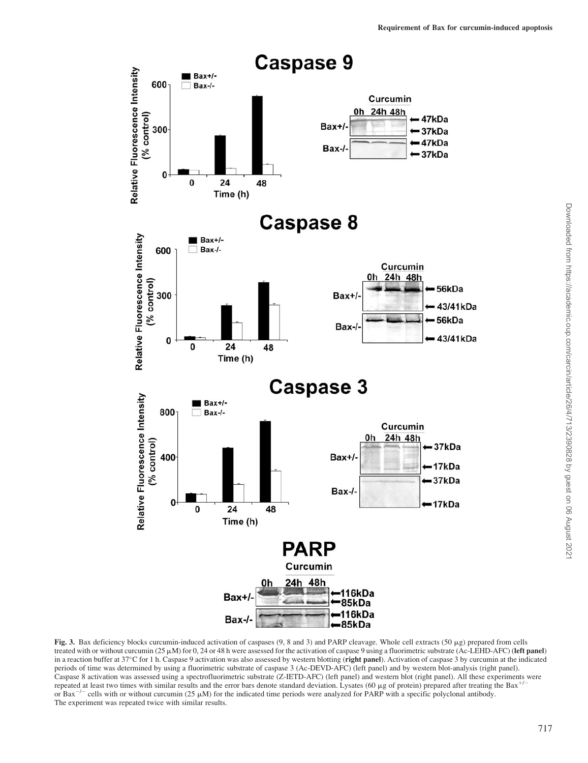

Fig. 3. Bax deficiency blocks curcumin-induced activation of caspases  $(9, 8 \text{ and } 3)$  and PARP cleavage. Whole cell extracts  $(50 \mu g)$  prepared from cells treated with or without curcumin ( $25 \mu$ M) for 0,  $24$  or 48 h were assessed for the activation of caspase 9 using a fluorimetric substrate (Ac-LEHD-AFC) (left panel) in a reaction buffer at  $37^{\circ}$ C for 1 h. Caspase 9 activation was also assessed by western blotting (right panel). Activation of caspase 3 by curcumin at the indicated periods of time was determined by using a fluorimetric substrate of caspase 3 (Ac-DEVD-AFC) (left panel) and by western blot-analysis (right panel). Caspase 8 activation was assessed using a spectrofluorimetric substrate (Z-IETD-AFC) (left panel) and western blot (right panel). All these experiments were repeated at least two times with similar results and the error bars denote standard deviation. Lysates (60  $\mu$ g of protein) prepared after treating the Bax<sup>+/-</sup> or Bax<sup>-/-</sup> cells with or without curcumin (25  $\mu$ M) for the indicated time periods were analyzed for PARP with a specific polyclonal antibody. The experiment was repeated twice with similar results.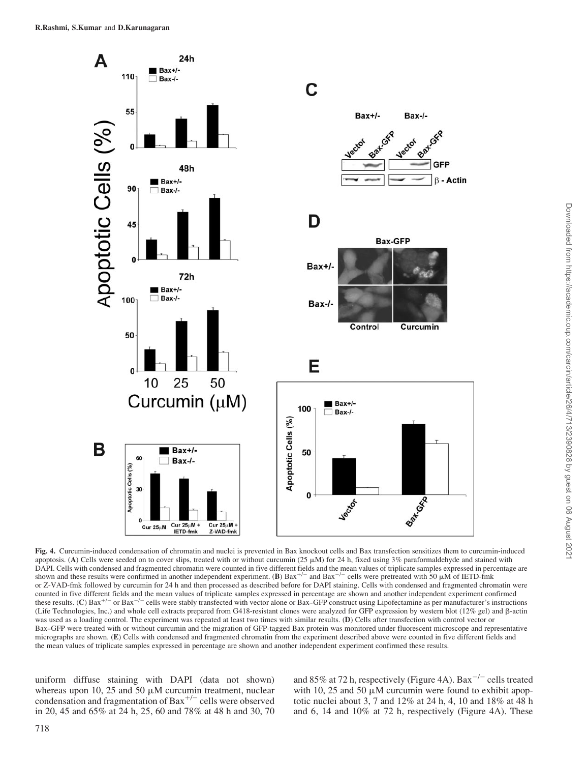

Fig. 4. Curcumin-induced condensation of chromatin and nuclei is prevented in Bax knockout cells and Bax transfection sensitizes them to curcumin-induced apoptosis. (A) Cells were seeded on to cover slips, treated with or without curcumin ( $25 \mu M$ ) for 24 h, fixed using  $3\%$  paraformaldehyde and stained with DAPI. Cells with condensed and fragmented chromatin were counted in five different fields and the mean values of triplicate samples expressed in percentage are shown and these results were confirmed in another independent experiment. (B)  $Bax^{+/-}$  and  $Bax^{-/-}$  cells were pretreated with 50  $\mu$ M of IETD-fmk or Z-VAD-fmk followed by curcumin for 24 h and then processed as described before for DAPI staining. Cells with condensed and fragmented chromatin were counted in five different fields and the mean values of triplicate samples expressed in percentage are shown and another independent experiment confirmed these results. (C) Bax<sup>+/-</sup> or Bax<sup>-/-</sup> cells were stably transfected with vector alone or Bax-GFP construct using Lipofectamine as per manufacturer's instructions (Life Technologies, Inc.) and whole cell extracts prepared from G418-resistant clones were analyzed for GFP expression by western blot (12% gel) and b-actin was used as a loading control. The experiment was repeated at least two times with similar results. (D) Cells after transfection with control vector or Bax--GFP were treated with or without curcumin and the migration of GFP-tagged Bax protein was monitored under fluorescent microscope and representative micrographs are shown. (E) Cells with condensed and fragmented chromatin from the experiment described above were counted in five different fields and the mean values of triplicate samples expressed in percentage are shown and another independent experiment confirmed these results.

uniform diffuse staining with DAPI (data not shown) whereas upon 10, 25 and 50  $\mu$ M curcumin treatment, nuclear condensation and fragmentation of Bax<sup>+/-</sup> cells were observed in 20, 45 and 65% at 24 h, 25, 60 and 78% at 48 h and 30, 70

and 85% at 72 h, respectively (Figure 4A).  $Bar^{-/-}$  cells treated with 10, 25 and 50  $\mu$ M curcumin were found to exhibit apoptotic nuclei about 3, 7 and 12% at 24 h, 4, 10 and 18% at 48 h and 6, 14 and 10% at 72 h, respectively (Figure 4A). These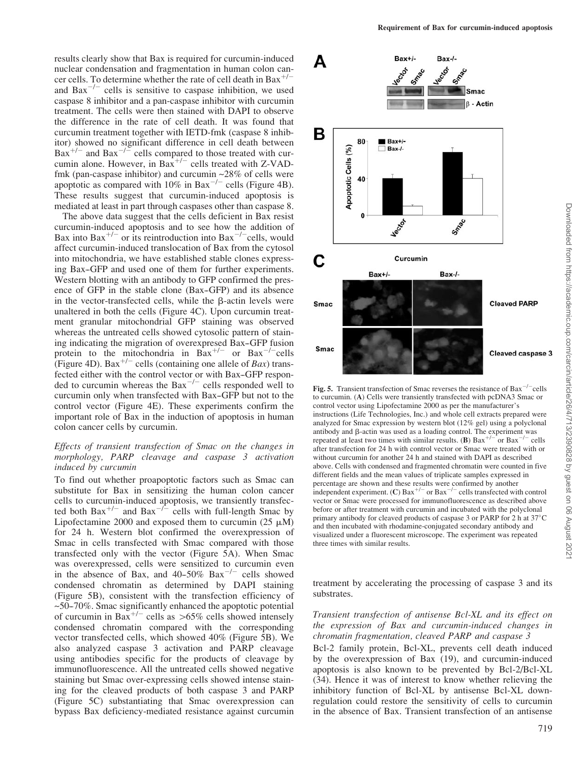results clearly show that Bax is required for curcumin-induced nuclear condensation and fragmentation in human colon cancer cells. To determine whether the rate of cell death in Bax<sup>+/-</sup> and  $Bar^{-/-}$  cells is sensitive to caspase inhibition, we used caspase 8 inhibitor and a pan-caspase inhibitor with curcumin treatment. The cells were then stained with DAPI to observe the difference in the rate of cell death. It was found that curcumin treatment together with IETD-fmk (caspase 8 inhibitor) showed no significant difference in cell death between  $Bax^{+/-}$  and  $Bax^{-/-}$  cells compared to those treated with curcumin alone. However, in Bax<sup>+/-</sup> cells treated with Z-VADfmk (pan-caspase inhibitor) and curcumin  $\sim$ 28% of cells were apoptotic as compared with  $10\%$  in Bax<sup>-/-</sup> cells (Figure 4B). These results suggest that curcumin-induced apoptosis is mediated at least in part through caspases other than caspase 8.

The above data suggest that the cells deficient in Bax resist curcumin-induced apoptosis and to see how the addition of Bax into  $Bar^{+/-}$  or its reintroduction into  $Bar^{-/-}$  cells, would affect curcumin-induced translocation of Bax from the cytosol into mitochondria, we have established stable clones expressing Bax–GFP and used one of them for further experiments. Western blotting with an antibody to GFP confirmed the presence of GFP in the stable clone (Bax–GFP) and its absence in the vector-transfected cells, while the  $\beta$ -actin levels were unaltered in both the cells (Figure 4C). Upon curcumin treatment granular mitochondrial GFP staining was observed whereas the untreated cells showed cytosolic pattern of staining indicating the migration of overexpresed Bax–GFP fusion protein to the mitochondria in  $Bax^{+/-}$  or  $Bax^{-/-}$ cells (Figure 4D).  $Bax^{+/-}$  cells (containing one allele of *Bax*) transfected either with the control vector or with Bax-GFP responded to curcumin whereas the  $Bax^{-/-}$  cells responded well to curcumin only when transfected with Bax-GFP but not to the control vector (Figure 4E). These experiments confirm the important role of Bax in the induction of apoptosis in human colon cancer cells by curcumin.

## Effects of transient transfection of Smac on the changes in morphology, PARP cleavage and caspase 3 activation induced by curcumin

To find out whether proapoptotic factors such as Smac can substitute for Bax in sensitizing the human colon cancer cells to curcumin-induced apoptosis, we transiently transfected both Bax<sup>+/-</sup> and Bax<sup>-/-</sup> cells with full-length Smac by Lipofectamine 2000 and exposed them to curcumin (25  $\mu$ M) for 24 h. Western blot confirmed the overexpression of Smac in cells transfected with Smac compared with those transfected only with the vector (Figure 5A). When Smac was overexpressed, cells were sensitized to curcumin even in the absence of Bax, and  $40-50\%$  Bax<sup>-/-</sup> cells showed condensed chromatin as determined by DAPI staining (Figure 5B), consistent with the transfection efficiency of  $~50-70\%$ . Smac significantly enhanced the apoptotic potential of curcumin in Bax<sup>+/-</sup> cells as >65% cells showed intensely condensed chromatin compared with the corresponding vector transfected cells, which showed 40% (Figure 5B). We also analyzed caspase 3 activation and PARP cleavage using antibodies specific for the products of cleavage by immunofluorescence. All the untreated cells showed negative staining but Smac over-expressing cells showed intense staining for the cleaved products of both caspase 3 and PARP (Figure 5C) substantiating that Smac overexpression can bypass Bax deficiency-mediated resistance against curcumin



Fig. 5. Transient transfection of Smac reverses the resistance of Bax<sup>-/-</sup>cells to curcumin. (A) Cells were transiently transfected with pcDNA3 Smac or control vector using Lipofectamine 2000 as per the manufacturer's instructions (Life Technologies, Inc.) and whole cell extracts prepared were analyzed for Smac expression by western blot (12% gel) using a polyclonal antibody and  $\beta$ -actin was used as a loading control. The experiment was repeated at least two times with similar results. (B)  $Bar^{+/-}$  or  $Bar^{-/-}$  cells after transfection for 24 h with control vector or Smac were treated with or without curcumin for another 24 h and stained with DAPI as described above. Cells with condensed and fragmented chromatin were counted in five different fields and the mean values of triplicate samples expressed in percentage are shown and these results were confirmed by another independent experiment. (C)  $Bax^{+/-}$  or  $Bax^{-/-}$  cells transfected with control vector or Smac were processed for immunofluorescence as described above before or after treatment with curcumin and incubated with the polyclonal primary antibody for cleaved products of caspase 3 or PARP for 2 h at  $37^{\circ}$ C and then incubated with rhodamine-conjugated secondary antibody and visualized under a fluorescent microscope. The experiment was repeated three times with similar results.

treatment by accelerating the processing of caspase 3 and its substrates.

## Transient transfection of antisense Bcl-XL and its effect on the expression of Bax and curcumin-induced changes in chromatin fragmentation, cleaved PARP and caspase 3

Bcl-2 family protein, Bcl-XL, prevents cell death induced by the overexpression of Bax (19), and curcumin-induced apoptosis is also known to be prevented by Bcl-2/Bcl-XL (34). Hence it was of interest to know whether relieving the inhibitory function of Bcl-XL by antisense Bcl-XL downregulation could restore the sensitivity of cells to curcumin in the absence of Bax. Transient transfection of an antisense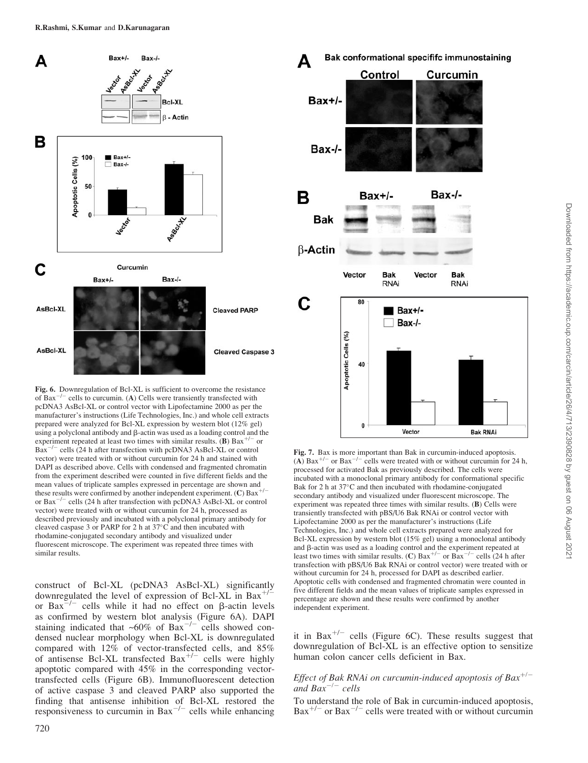

Fig. 6. Downregulation of Bcl-XL is sufficient to overcome the resistance of  $Bax^{-/-}$  cells to curcumin. (A) Cells were transiently transfected with pcDNA3 AsBcl-XL or control vector with Lipofectamine 2000 as per the manufacturer's instructions (Life Technologies, Inc.) and whole cell extracts prepared were analyzed for Bcl-XL expression by western blot (12% gel) using a polyclonal antibody and b-actin was used as a loading control and the experiment repeated at least two times with similar results. (B) Bax<sup>+/-</sup> or Bax<sup>-/-</sup> cells (24 h after transfection with pcDNA3 AsBcl-XL or control vector) were treated with or without curcumin for 24 h and stained with DAPI as described above. Cells with condensed and fragmented chromatin from the experiment described were counted in five different fields and the mean values of triplicate samples expressed in percentage are shown and these results were confirmed by another independent experiment. (C) Bax<sup>+/-</sup> or Bax<sup>-/-</sup> cells (24 h after transfection with pcDNA3 AsBcl-XL or control vector) were treated with or without curcumin for 24 h, processed as described previously and incubated with a polyclonal primary antibody for cleaved caspase 3 or PARP for 2 h at  $37^{\circ}$ C and then incubated with rhodamine-conjugated secondary antibody and visualized under fluorescent microscope. The experiment was repeated three times with similar results.

construct of Bcl-XL (pcDNA3 AsBcl-XL) significantly downregulated the level of expression of Bcl-XL in Bax<sup>+/-</sup> or  $Bar^{-/-}$  cells while it had no effect on  $\beta$ -actin levels as confirmed by western blot analysis (Figure 6A). DAPI staining indicated that  $\sim 60\%$  of Bax<sup>-/-</sup> cells showed condensed nuclear morphology when Bcl-XL is downregulated compared with  $12\%$  of vector-transfected cells, and  $85\%$ of antisense Bcl-XL transfected  $Bax^{+/-}$  cells were highly apoptotic compared with 45% in the corresponding vectortransfected cells (Figure 6B). Immunofluorescent detection of active caspase 3 and cleaved PARP also supported the finding that antisense inhibition of Bcl-XL restored the responsiveness to curcumin in Bax<sup> $-/-$ </sup> cells while enhancing



Fig. 7. Bax is more important than Bak in curcumin-induced apoptosis. (A)  $Bar^{+-}$  or  $Bar^{-/-}$  cells were treated with or without curcumin for 24 h, processed for activated Bak as previously described. The cells were incubated with a monoclonal primary antibody for conformational specific Bak for 2 h at  $37^{\circ}$ C and then incubated with rhodamine-conjugated secondary antibody and visualized under fluorescent microscope. The experiment was repeated three times with similar results. (B) Cells were transiently transfected with pBS/U6 Bak RNAi or control vector with Lipofectamine 2000 as per the manufacturer's instructions (Life Technologies, Inc.) and whole cell extracts prepared were analyzed for Bcl-XL expression by western blot (15% gel) using a monoclonal antibody and  $\beta$ -actin was used as a loading control and the experiment repeated at least two times with similar results. (C) Bax<sup>+/-</sup> or Bax<sup>-/-</sup> cells (24 h after transfection with pBS/U6 Bak RNAi or control vector) were treated with or without curcumin for 24 h, processed for DAPI as described earlier. Apoptotic cells with condensed and fragmented chromatin were counted in five different fields and the mean values of triplicate samples expressed in percentage are shown and these results were confirmed by another independent experiment.

it in Bax<sup>+/-</sup> cells (Figure 6C). These results suggest that downregulation of Bcl-XL is an effective option to sensitize human colon cancer cells deficient in Bax.

## Effect of Bak RNAi on curcumin-induced apoptosis of Bax<sup>+/-</sup> and  $Bax^{-/-}$  cells

To understand the role of Bak in curcumin-induced apoptosis,  $Bax^{+/-}$  or  $Bax^{-/-}$  cells were treated with or without curcumin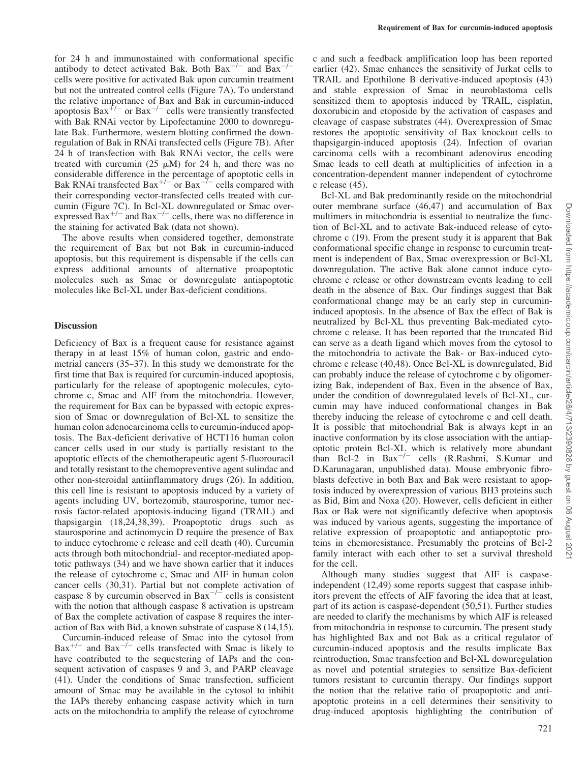for 24 h and immunostained with conformational specific antibody to detect activated Bak. Both Bax<sup>+/-</sup> and Bax<sup>-/-</sup> cells were positive for activated Bak upon curcumin treatment but not the untreated control cells (Figure 7A). To understand the relative importance of Bax and Bak in curcumin-induced apoptosis Bax<sup>+/-</sup> or Bax<sup>-/-</sup> cells were transiently transfected with Bak RNAi vector by Lipofectamine 2000 to downregulate Bak. Furthermore, western blotting confirmed the downregulation of Bak in RNAi transfected cells (Figure 7B). After 24 h of transfection with Bak RNAi vector, the cells were treated with curcumin (25  $\mu$ M) for 24 h, and there was no considerable difference in the percentage of apoptotic cells in Bak RNAi transfected  $Bax^{+/-}$  or  $Bax^{-/-}$  cells compared with their corresponding vector-transfected cells treated with curcumin (Figure 7C). In Bcl-XL downregulated or Smac overexpressed  $Bax^{+/-}$  and  $Bax^{-/-}$  cells, there was no difference in the staining for activated Bak (data not shown).

The above results when considered together, demonstrate the requirement of Bax but not Bak in curcumin-induced apoptosis, but this requirement is dispensable if the cells can express additional amounts of alternative proapoptotic molecules such as Smac or downregulate antiapoptotic molecules like Bcl-XL under Bax-deficient conditions.

### **Discussion**

Deficiency of Bax is a frequent cause for resistance against therapy in at least 15% of human colon, gastric and endometrial cancers (35–37). In this study we demonstrate for the first time that Bax is required for curcumin-induced apoptosis, particularly for the release of apoptogenic molecules, cytochrome c, Smac and AIF from the mitochondria. However, the requirement for Bax can be bypassed with ectopic expression of Smac or downregulation of Bcl-XL to sensitize the human colon adenocarcinoma cells to curcumin-induced apoptosis. The Bax-deficient derivative of HCT116 human colon cancer cells used in our study is partially resistant to the apoptotic effects of the chemotherapeutic agent 5-fluorouracil and totally resistant to the chemopreventive agent sulindac and other non-steroidal antiinflammatory drugs (26). In addition, this cell line is resistant to apoptosis induced by a variety of agents including UV, bortezomib, staurosporine, tumor necrosis factor-related apoptosis-inducing ligand (TRAIL) and thapsigargin (18,24,38,39). Proapoptotic drugs such as staurosporine and actinomycin D require the presence of Bax to induce cytochrome c release and cell death (40). Curcumin acts through both mitochondrial- and receptor-mediated apoptotic pathways (34) and we have shown earlier that it induces the release of cytochrome c, Smac and AIF in human colon cancer cells (30,31). Partial but not complete activation of caspase 8 by curcumin observed in  $Bax^{-1}$  cells is consistent with the notion that although caspase 8 activation is upstream of Bax the complete activation of caspase 8 requires the interaction of Bax with Bid, a known substrate of caspase 8 (14,15).

Curcumin-induced release of Smac into the cytosol from  $Bar^{+/-}$  and  $Bar^{-/-}$  cells transfected with Smac is likely to have contributed to the sequestering of IAPs and the consequent activation of caspases 9 and 3, and PARP cleavage (41). Under the conditions of Smac transfection, sufficient amount of Smac may be available in the cytosol to inhibit the IAPs thereby enhancing caspase activity which in turn acts on the mitochondria to amplify the release of cytochrome

c and such a feedback amplification loop has been reported earlier (42). Smac enhances the sensitivity of Jurkat cells to TRAIL and Epothilone B derivative-induced apoptosis (43) and stable expression of Smac in neuroblastoma cells sensitized them to apoptosis induced by TRAIL, cisplatin, doxorubicin and etoposide by the activation of caspases and cleavage of caspase substrates (44). Overexpression of Smac restores the apoptotic sensitivity of Bax knockout cells to thapsigargin-induced apoptosis (24). Infection of ovarian carcinoma cells with a recombinant adenovirus encoding Smac leads to cell death at multiplicities of infection in a concentration-dependent manner independent of cytochrome c release (45).

Bcl-XL and Bak predominantly reside on the mitochondrial outer membrane surface (46,47) and accumulation of Bax multimers in mitochondria is essential to neutralize the function of Bcl-XL and to activate Bak-induced release of cytochrome c (19). From the present study it is apparent that Bak conformational specific change in response to curcumin treatment is independent of Bax, Smac overexpression or Bcl-XL downregulation. The active Bak alone cannot induce cytochrome c release or other downstream events leading to cell death in the absence of Bax. Our findings suggest that Bak conformational change may be an early step in curcumininduced apoptosis. In the absence of Bax the effect of Bak is neutralized by Bcl-XL thus preventing Bak-mediated cytochrome c release. It has been reported that the truncated Bid can serve as a death ligand which moves from the cytosol to the mitochondria to activate the Bak- or Bax-induced cytochrome c release (40,48). Once Bcl-XL is downregulated, Bid can probably induce the release of cytochrome c by oligomerizing Bak, independent of Bax. Even in the absence of Bax, under the condition of downregulated levels of Bcl-XL, curcumin may have induced conformational changes in Bak thereby inducing the release of cytochrome c and cell death. It is possible that mitochondrial Bak is always kept in an inactive conformation by its close association with the antiapoptotic protein Bcl-XL which is relatively more abundant than Bcl-2 in  $Bax^{-/-}$  cells (R.Rashmi, S.Kumar and D.Karunagaran, unpublished data). Mouse embryonic fibroblasts defective in both Bax and Bak were resistant to apoptosis induced by overexpression of various BH3 proteins such as Bid, Bim and Noxa (20). However, cells deficient in either Bax or Bak were not significantly defective when apoptosis was induced by various agents, suggesting the importance of relative expression of proapoptotic and antiapoptotic proteins in chemoresistance. Presumably the proteins of Bcl-2 family interact with each other to set a survival threshold for the cell.

Although many studies suggest that AIF is caspaseindependent (12,49) some reports suggest that caspase inhibitors prevent the effects of AIF favoring the idea that at least, part of its action is caspase-dependent (50,51). Further studies are needed to clarify the mechanisms by which AIF is released from mitochondria in response to curcumin. The present study has highlighted Bax and not Bak as a critical regulator of curcumin-induced apoptosis and the results implicate Bax reintroduction, Smac transfection and Bcl-XL downregulation as novel and potential strategies to sensitize Bax-deficient tumors resistant to curcumin therapy. Our findings support the notion that the relative ratio of proapoptotic and antiapoptotic proteins in a cell determines their sensitivity to drug-induced apoptosis highlighting the contribution of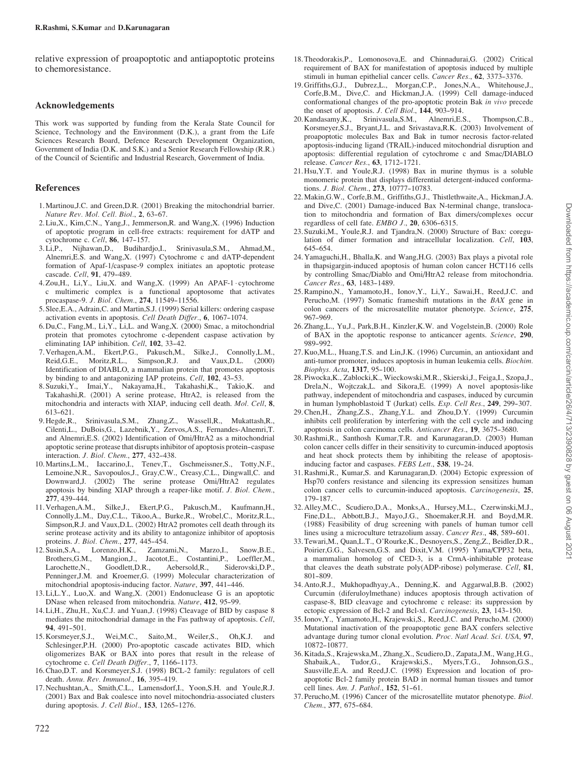relative expression of proapoptotic and antiapoptotic proteins to chemoresistance.

#### Acknowledgements

This work was supported by funding from the Kerala State Council for Science, Technology and the Environment (D.K.), a grant from the Life Sciences Research Board, Defence Research Development Organization, Government of India (D.K. and S.K.) and a Senior Research Fellowship (R.R.) of the Council of Scientific and Industrial Research, Government of India.

### References

- 1.Martinou,J.C. and Green,D.R. (2001) Breaking the mitochondrial barrier. Nature Rev. Mol. Cell. Biol., 2, 63-67.
- 2. Liu,X., Kim,C.N., Yang,J., Jemmerson,R. and Wang,X. (1996) Induction of apoptotic program in cell-free extracts: requirement for dATP and cytochrome c. Cell, 86, 147-157.
- 3. Li,P., Nijhawan,D., Budihardjo,I., Srinivasula,S.M., Ahmad,M., Alnemri,E.S. and Wang,X. (1997) Cytochrome c and dATP-dependent formation of Apaf-1/caspase-9 complex initiates an apoptotic protease cascade. Cell, 91, 479-489.
- 4. Zou,H., Li,Y., Liu,X. and Wang,X. (1999) An APAF-1 cytochrome c multimeric complex is a functional apoptosome that activates procaspase-9. *J. Biol. Chem.*, 274, 11549-11556.
- 5. Slee,E.A., Adrain,C. and Martin,S.J. (1999) Serial killers: ordering caspase activation events in apoptosis. Cell Death Differ., 6, 1067-1074.
- 6. Du,C., Fang,M., Li,Y., Li,L. and Wang,X. (2000) Smac, a mitochondrial protein that promotes cytochrome c-dependent caspase activation by eliminating IAP inhibition. Cell,  $102$ ,  $33-42$ .
- 7. Verhagen,A.M., Ekert,P.G., Pakusch,M., Silke,J., Connolly,L.M., Reid,G.E., Moritz,R.L., Simpson,R.J. and Vaux,D.L. (2000) Identification of DIABLO, a mammalian protein that promotes apoptosis by binding to and antagonizing IAP proteins. Cell, 102, 43-53.
- 8. Suzuki,Y., Imai,Y., Nakayama,H., Takahashi,K., Takio,K. and Takahashi,R. (2001) A serine protease, HtrA2, is released from the mitochondria and interacts with XIAP, inducing cell death. Mol. Cell, 8,  $613 - 621$ .
- 9. Hegde,R., Srinivasula,S.M., Zhang,Z., Wassell,R., Mukattash,R., Cilenti,L., DuBois,G., Lazebnik,Y., Zervos,A.S., Fernandes-Alnemri,T. and Alnemri,E.S. (2002) Identification of Omi/HtrA2 as a mitochondrial apoptotic serine protease that disrupts inhibitor of apoptosis protein--caspase interaction. *J. Biol. Chem.*, 277, 432-438.
- 10.Martins,L.M., Iaccarino,I., Tenev,T., Gschmeissner,S., Totty,N.F., Lemoine,N.R., Savopoulos,J., Gray,C.W., Creasy,C.L., Dingwall,C. and Downward,J. (2002) The serine protease Omi/HtrA2 regulates apoptosis by binding XIAP through a reaper-like motif. J. Biol. Chem., 277, 439-444.<br>11. Verhagen.A.M..
- Silke,J., Ekert,P.G., Pakusch,M., Kaufmann,H., Connolly,L.M., Day,C.L., Tikoo,A., Burke,R., Wrobel,C., Moritz,R.L., Simpson,R.J. and Vaux,D.L. (2002) HtrA2 promotes cell death through its serine protease activity and its ability to antagonize inhibitor of apoptosis proteins. *J. Biol. Chem.*, 277, 445-454.<br>Susin S.A. Lorenzo H.K. Zamzami N.
- 12. Susin,S.A., Lorenzo,H.K., Zamzami,N., Marzo,I., Snow,B.E., Brothers,G.M., Mangion,J., Jacotot,E., Costantini,P., Loeffler,M.,<br>Larochette,N., Goodlett,D.R., Aebersold,R., Siderovski,D.P., Larochette,N., Goodlett,D.R., Aebersold,R., Siderovski,D.P., Penninger,J.M. and Kroemer,G. (1999) Molecular characterization of mitochondrial apoptosis-inducing factor. Nature, 397, 441-446.
- 13.Li,L.Y., Luo,X. and Wang,X. (2001) Endonuclease G is an apoptotic DNase when released from mitochondria. Nature, 412, 95-99.
- 14.Li,H., Zhu,H., Xu,C.J. and Yuan,J. (1998) Cleavage of BID by caspase 8 mediates the mitochondrial damage in the Fas pathway of apoptosis. Cell,
- 94, 491-501.<br>15. Korsmeyer, S.J., Wei,M.C., Saito,M., Weiler,S., Oh,K.J. and Schlesinger,P.H. (2000) Pro-apoptotic cascade activates BID, which oligomerizes BAK or BAX into pores that result in the release of cytochrome c. Cell Death Differ., 7, 1166-1173.
- 16.Chao,D.T. and Korsmeyer,S.J. (1998) BCL-2 family: regulators of cell death. Annu. Rev. Immunol., 16, 395-419.
- 17. Nechushtan,A., Smith,C.L., Lamensdorf,I., Yoon,S.H. and Youle,R.J. (2001) Bax and Bak coalesce into novel mitochondria-associated clusters during apoptosis. J. Cell Biol., 153, 1265-1276.
- 18.Theodorakis,P., Lomonosova,E. and Chinnadurai,G. (2002) Critical requirement of BAX for manifestation of apoptosis induced by multiple stimuli in human epithelial cancer cells. Cancer Res., 62, 3373--3376.
- 19. Griffiths,G.J., Dubrez,L., Morgan,C.P., Jones,N.A., Whitehouse,J., Corfe,B.M., Dive,C. and Hickman,J.A. (1999) Cell damage-induced conformational changes of the pro-apoptotic protein Bak in vivo precede the onset of apoptosis. J. Cell Biol., 144, 903-914.
- 20. Kandasamy,K., Srinivasula,S.M., Alnemri,E.S., Thompson,C.B., Korsmeyer,S.J., Bryant,J.L. and Srivastava,R.K. (2003) Involvement of proapoptotic molecules Bax and Bak in tumor necrosis factor-related apoptosis-inducing ligand (TRAIL)-induced mitochondrial disruption and apoptosis: differential regulation of cytochrome c and Smac/DIABLO release. Cancer Res., 63, 1712-1721.
- 21. Hsu,Y.T. and Youle,R.J. (1998) Bax in murine thymus is a soluble monomeric protein that displays differential detergent-induced conformations. *J. Biol. Chem.*, 273, 10777-10783.
- 22.Makin,G.W., Corfe,B.M., Griffiths,G.J., Thistlethwaite,A., Hickman,J.A. and Dive,C. (2001) Damage-induced Bax N-terminal change, translocation to mitochondria and formation of Bax dimers/complexes occur regardless of cell fate.  $EMBO$   $J.$ ,  $20$ ,  $6306-6315$ .
- 23. Suzuki,M., Youle,R.J. and Tjandra,N. (2000) Structure of Bax: coregulation of dimer formation and intracellular localization. Cell, 103, 645-654.
- 24. Yamaguchi,H., Bhalla,K. and Wang,H.G. (2003) Bax plays a pivotal role in thapsigargin-induced apoptosis of human colon cancer HCT116 cells by controlling Smac/Diablo and Omi/HtrA2 release from mitochondria. Cancer Res., 63, 1483-1489.
- 25.Rampino,N., Yamamoto,H., Ionov,Y., Li,Y., Sawai,H., Reed,J.C. and Perucho,M. (1997) Somatic frameshift mutations in the BAX gene in colon cancers of the microsatellite mutator phenotype. Science, 275, 967-969.
- 26.Zhang,L., Yu,J., Park,B.H., Kinzler,K.W. and Vogelstein,B. (2000) Role of BAX in the apoptotic response to anticancer agents. Science, 290, 989--992.
- 27. Kuo,M.L., Huang,T.S. and Lin,J.K. (1996) Curcumin, an antioxidant and anti-tumor promoter, induces apoptosis in human leukemia cells. Biochim. Biophys. Acta, 1317, 95-100.
- 28. Piwocka,K., Zablocki,K., Wieckowski,M.R., Skierski,J., Feiga,I., Szopa,J., Drela,N., Wojtczak,L. and Sikora,E. (1999) A novel apoptosis-like pathway, independent of mitochondria and caspases, induced by curcumin in human lymphoblastoid T (Jurkat) cells. Exp. Cell Res., 249, 299-307.
- 29.Chen,H., Zhang,Z.S., Zhang,Y.L. and Zhou,D.Y. (1999) Curcumin inhibits cell proliferation by interfering with the cell cycle and inducing apoptosis in colon carcinoma cells. Anticancer Res., 19, 3675-3680.
- 30.Rashmi,R., Santhosh Kumar,T.R. and Karunagaran,D. (2003) Human colon cancer cells differ in their sensitivity to curcumin-induced apoptosis and heat shock protects them by inhibiting the release of apoptosisinducing factor and caspases. FEBS Lett., 538, 19-24.
- 31.Rashmi,R., Kumar,S. and Karunagaran,D. (2004) Ectopic expression of Hsp70 confers resistance and silencing its expression sensitizes human colon cancer cells to curcumin-induced apoptosis. Carcinogenesis, 25, 179--187.
- 32. Alley,M.C., Scudiero,D.A., Monks,A., Hursey,M.L., Czerwinski,M.J., Fine,D.L., Abbott,B.J., Mayo,J.G., Shoemaker,R.H. and Boyd,M.R. (1988) Feasibility of drug screening with panels of human tumor cell lines using a microculture tetrazolium assay. Cancer Res., 48, 589-601.
- 33.Tewari,M., Quan,L.T., O'Rourke,K., Desnoyers,S., Zeng,Z., Beidler,D.R., Poirier,G.G., Salvesen,G.S. and Dixit,V.M. (1995) Yama/CPP32 beta, a mammalian homolog of CED-3, is a CrmA-inhibitable protease that cleaves the death substrate poly(ADP-ribose) polymerase. Cell,  $81$ , 801-809.
- 34. Anto,R.J., Mukhopadhyay,A., Denning,K. and Aggarwal,B.B. (2002) Curcumin (diferuloylmethane) induces apoptosis through activation of caspase-8, BID cleavage and cytochrome c release: its suppression by ectopic expression of Bcl-2 and Bcl-xl. Carcinogenesis, 23, 143-150.
- 35. Ionov,Y., Yamamoto,H., Krajewski,S., Reed,J.C. and Perucho,M. (2000) Mutational inactivation of the proapoptotic gene BAX confers selective advantage during tumor clonal evolution. Proc. Natl Acad. Sci. USA, 97, 10872--10877.
- 36. Kitada,S., Krajewska,M., Zhang,X., Scudiero,D., Zapata,J.M., Wang,H.G., Shabaik,A., Tudor,G., Krajewski,S., Myers,T.G., Johnson,G.S., Sausville,E.A. and Reed,J.C. (1998) Expression and location of proapoptotic Bcl-2 family protein BAD in normal human tissues and tumor cell lines. Am. J. Pathol., 152, 51-61.
- 37. Perucho,M. (1996) Cancer of the microsatellite mutator phenotype. Biol. Chem., 377, 675-684.